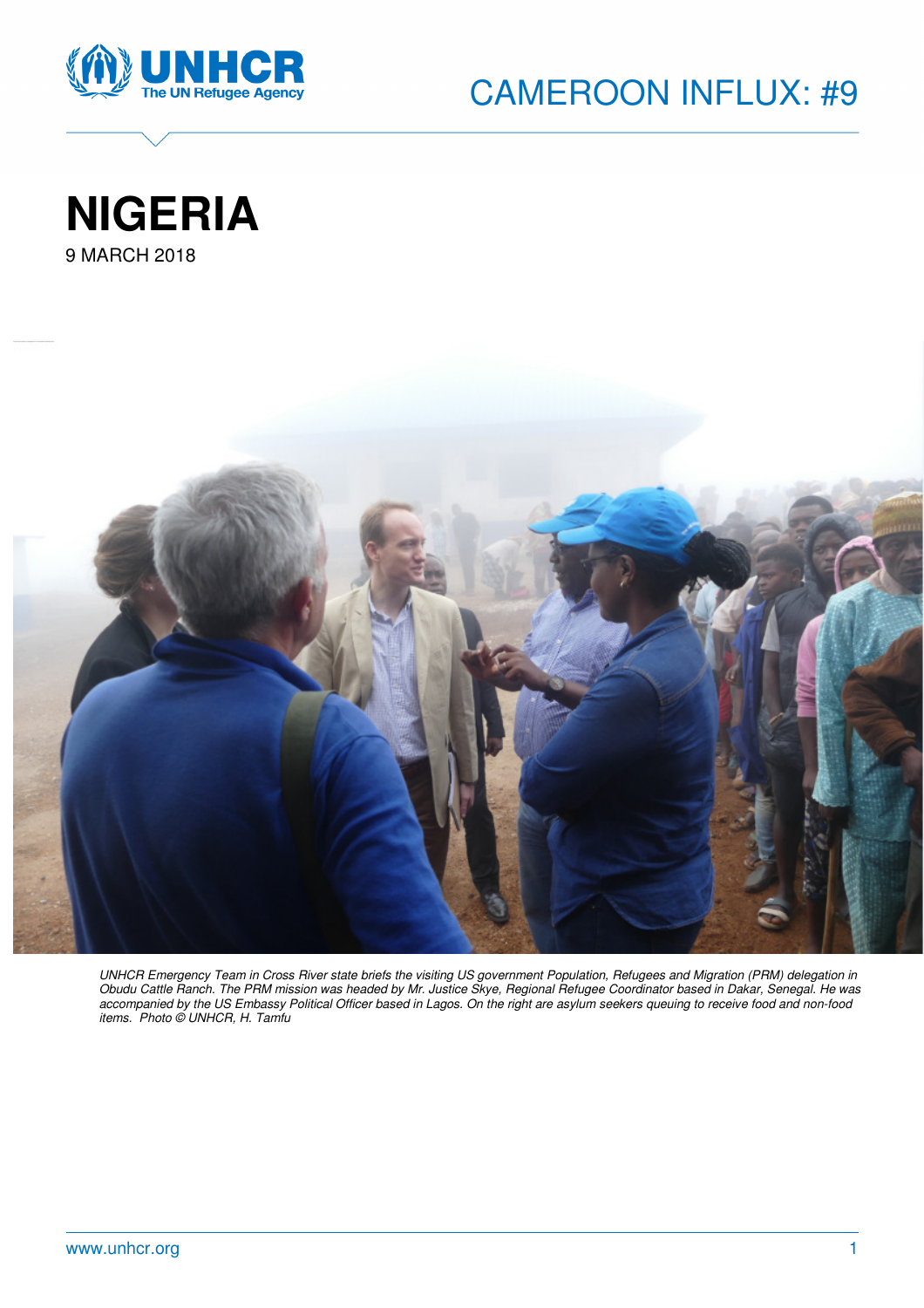







UNHCR Emergency Team in Cross River state briefs the visiting US government Population, Refugees and Migration (PRM) delegation in Obudu Cattle Ranch. The PRM mission was headed by Mr. Justice Skye, Regional Refugee Coordinator based in Dakar, Senegal. He was accompanied by the US Embassy Political Officer based in Lagos. On the right are asylum seekers queuing to receive food and non-food items. Photo © UNHCR, H. Tamfu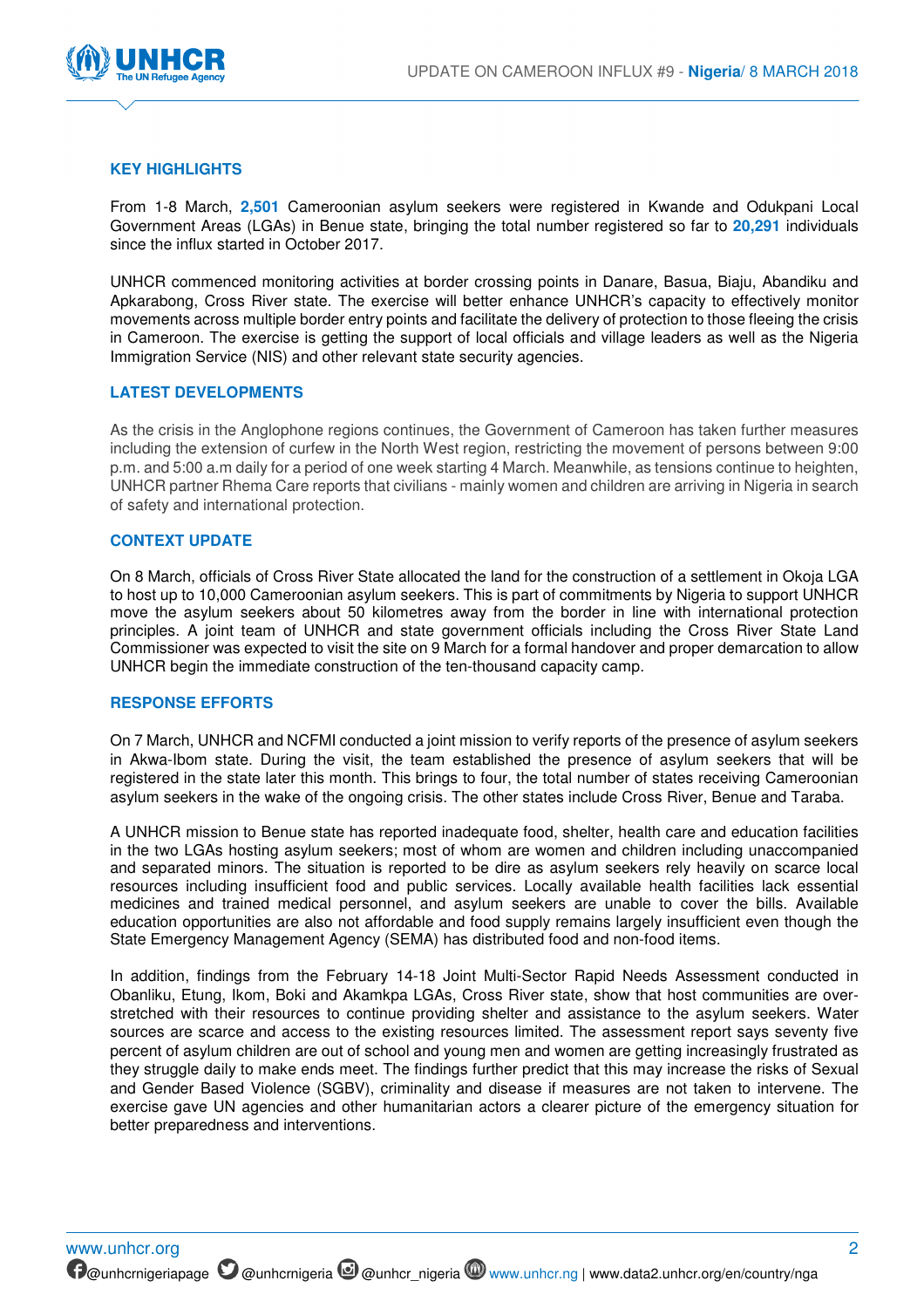

# **KEY HIGHLIGHTS**

From 1-8 March, **2,501** Cameroonian asylum seekers were registered in Kwande and Odukpani Local Government Areas (LGAs) in Benue state, bringing the total number registered so far to **20,291** individuals since the influx started in October 2017.

UNHCR commenced monitoring activities at border crossing points in Danare, Basua, Biaju, Abandiku and Apkarabong, Cross River state. The exercise will better enhance UNHCR's capacity to effectively monitor movements across multiple border entry points and facilitate the delivery of protection to those fleeing the crisis in Cameroon. The exercise is getting the support of local officials and village leaders as well as the Nigeria Immigration Service (NIS) and other relevant state security agencies.

## **LATEST DEVELOPMENTS**

As the crisis in the Anglophone regions continues, the Government of Cameroon has taken further measures including the extension of curfew in the North West region, restricting the movement of persons between 9:00 p.m. and 5:00 a.m daily for a period of one week starting 4 March. Meanwhile, as tensions continue to heighten, UNHCR partner Rhema Care reports that civilians - mainly women and children are arriving in Nigeria in search of safety and international protection.

#### **CONTEXT UPDATE**

On 8 March, officials of Cross River State allocated the land for the construction of a settlement in Okoja LGA to host up to 10,000 Cameroonian asylum seekers. This is part of commitments by Nigeria to support UNHCR move the asylum seekers about 50 kilometres away from the border in line with international protection principles. A joint team of UNHCR and state government officials including the Cross River State Land Commissioner was expected to visit the site on 9 March for a formal handover and proper demarcation to allow UNHCR begin the immediate construction of the ten-thousand capacity camp.

## **RESPONSE EFFORTS**

On 7 March, UNHCR and NCFMI conducted a joint mission to verify reports of the presence of asylum seekers in Akwa-Ibom state. During the visit, the team established the presence of asylum seekers that will be registered in the state later this month. This brings to four, the total number of states receiving Cameroonian asylum seekers in the wake of the ongoing crisis. The other states include Cross River, Benue and Taraba.

A UNHCR mission to Benue state has reported inadequate food, shelter, health care and education facilities in the two LGAs hosting asylum seekers; most of whom are women and children including unaccompanied and separated minors. The situation is reported to be dire as asylum seekers rely heavily on scarce local resources including insufficient food and public services. Locally available health facilities lack essential medicines and trained medical personnel, and asylum seekers are unable to cover the bills. Available education opportunities are also not affordable and food supply remains largely insufficient even though the State Emergency Management Agency (SEMA) has distributed food and non-food items.

In addition, findings from the February 14-18 Joint Multi-Sector Rapid Needs Assessment conducted in Obanliku, Etung, Ikom, Boki and Akamkpa LGAs, Cross River state, show that host communities are overstretched with their resources to continue providing shelter and assistance to the asylum seekers. Water sources are scarce and access to the existing resources limited. The assessment report says seventy five percent of asylum children are out of school and young men and women are getting increasingly frustrated as they struggle daily to make ends meet. The findings further predict that this may increase the risks of Sexual and Gender Based Violence (SGBV), criminality and disease if measures are not taken to intervene. The exercise gave UN agencies and other humanitarian actors a clearer picture of the emergency situation for better preparedness and interventions.